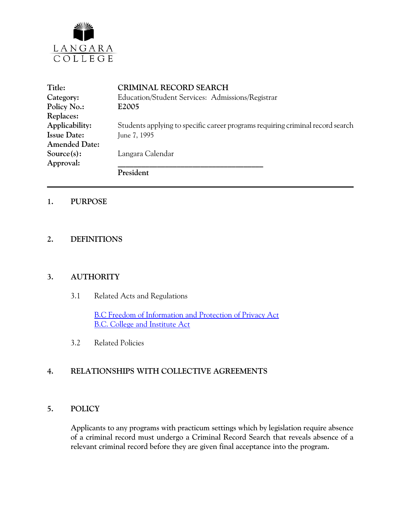

| Title:               | <b>CRIMINAL RECORD SEARCH</b>                                                  |
|----------------------|--------------------------------------------------------------------------------|
| Category:            | Education/Student Services: Admissions/Registrar                               |
| Policy No.:          | E2005                                                                          |
| Replaces:            |                                                                                |
| Applicability:       | Students applying to specific career programs requiring criminal record search |
| <b>Issue Date:</b>   | June 7, 1995                                                                   |
| <b>Amended Date:</b> |                                                                                |
| Source(s):           | Langara Calendar                                                               |
| Approval:            |                                                                                |
|                      | President                                                                      |

## **1. PURPOSE**

# **2. DEFINITIONS**

## **3. AUTHORITY**

3.1 Related Acts and Regulations

[B.C Freedom of Information and Protection of Privacy Act](http://www.mser.gov.bc.ca/foi_pop/index_toc.htm) [B.C. College and Institute Act](http://www.qp.gov.bc.ca/statreg/stat/C/96052_01.htm)

3.2 Related Policies

# **4. RELATIONSHIPS WITH COLLECTIVE AGREEMENTS**

### **5. POLICY**

Applicants to any programs with practicum settings which by legislation require absence of a criminal record must undergo a Criminal Record Search that reveals absence of a relevant criminal record before they are given final acceptance into the program.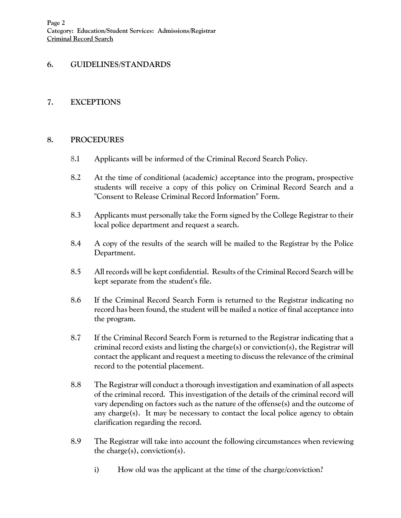# **6. GUIDELINES/STANDARDS**

## **7. EXCEPTIONS**

## **8. PROCEDURES**

- 8.1 Applicants will be informed of the Criminal Record Search Policy.
- 8.2 At the time of conditional (academic) acceptance into the program, prospective students will receive a copy of this policy on Criminal Record Search and a "Consent to Release Criminal Record Information" Form.
- 8.3 Applicants must personally take the Form signed by the College Registrar to their local police department and request a search.
- 8.4 A copy of the results of the search will be mailed to the Registrar by the Police Department.
- 8.5 All records will be kept confidential. Results of the Criminal Record Search will be kept separate from the student's file.
- 8.6 If the Criminal Record Search Form is returned to the Registrar indicating no record has been found, the student will be mailed a notice of final acceptance into the program.
- 8.7 If the Criminal Record Search Form is returned to the Registrar indicating that a criminal record exists and listing the charge(s) or conviction(s), the Registrar will contact the applicant and request a meeting to discussthe relevance of the criminal record to the potential placement.
- 8.8 The Registrar will conduct a thorough investigation and examination of all aspects of the criminal record. This investigation of the details of the criminal record will vary depending on factors such as the nature of the offense(s) and the outcome of any charge(s). It may be necessary to contact the local police agency to obtain clarification regarding the record.
- 8.9 The Registrar will take into account the following circumstances when reviewing the charge(s), conviction(s).
	- i) How old was the applicant at the time of the charge/conviction?